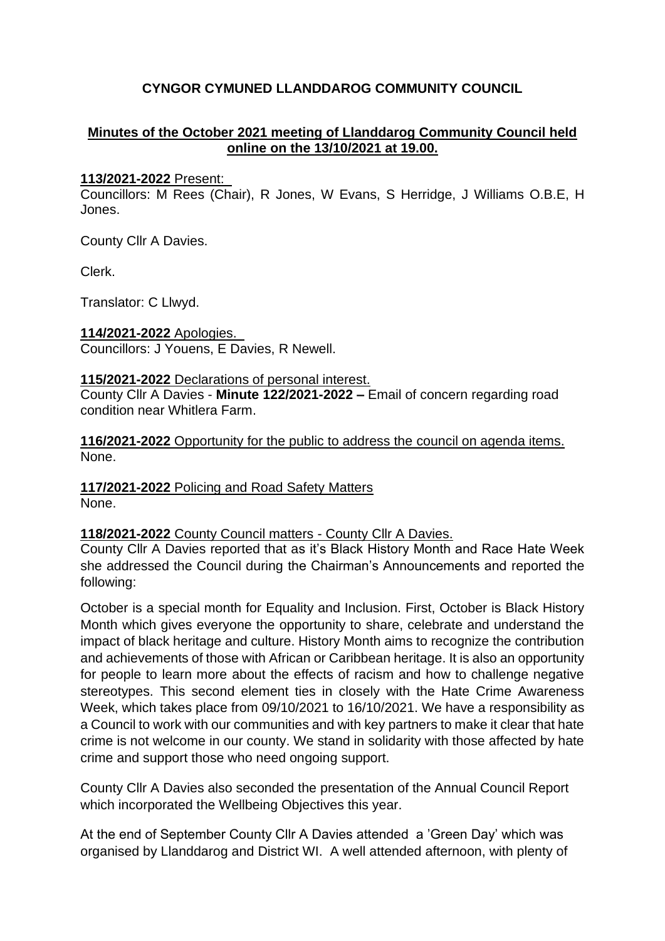# **CYNGOR CYMUNED LLANDDAROG COMMUNITY COUNCIL**

# **Minutes of the October 2021 meeting of Llanddarog Community Council held online on the 13/10/2021 at 19.00.**

#### **113/2021-2022** Present:

Councillors: M Rees (Chair), R Jones, W Evans, S Herridge, J Williams O.B.E, H Jones.

County Cllr A Davies.

Clerk.

Translator: C Llwyd.

**114/2021-2022** Apologies. Councillors: J Youens, E Davies, R Newell.

# **115/2021-2022** Declarations of personal interest.

County Cllr A Davies - **Minute 122/2021-2022 –** Email of concern regarding road condition near Whitlera Farm.

**116/2021-2022** Opportunity for the public to address the council on agenda items. None.

**117/2021-2022** Policing and Road Safety Matters None.

## **118/2021-2022** County Council matters - County Cllr A Davies.

County Cllr A Davies reported that as it's Black History Month and Race Hate Week she addressed the Council during the Chairman's Announcements and reported the following:

October is a special month for Equality and Inclusion. First, October is Black History Month which gives everyone the opportunity to share, celebrate and understand the impact of black heritage and culture. History Month aims to recognize the contribution and achievements of those with African or Caribbean heritage. It is also an opportunity for people to learn more about the effects of racism and how to challenge negative stereotypes. This second element ties in closely with the Hate Crime Awareness Week, which takes place from 09/10/2021 to 16/10/2021. We have a responsibility as a Council to work with our communities and with key partners to make it clear that hate crime is not welcome in our county. We stand in solidarity with those affected by hate crime and support those who need ongoing support.

County Cllr A Davies also seconded the presentation of the Annual Council Report which incorporated the Wellbeing Objectives this year.

At the end of September County Cllr A Davies attended a 'Green Day' which was organised by Llanddarog and District WI. A well attended afternoon, with plenty of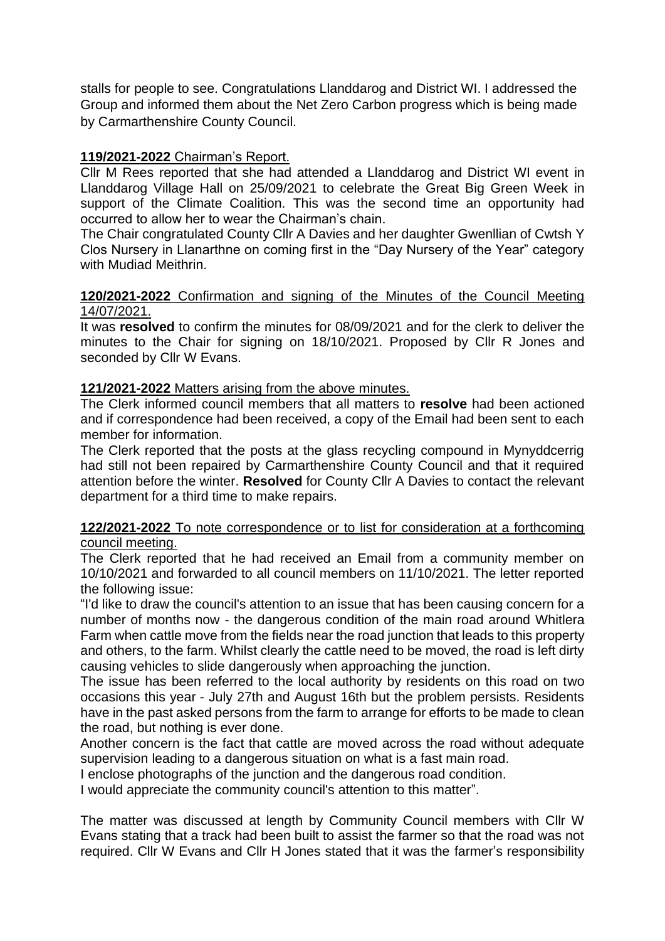stalls for people to see. Congratulations Llanddarog and District WI. I addressed the Group and informed them about the Net Zero Carbon progress which is being made by Carmarthenshire County Council.

# **119/2021-2022** Chairman's Report.

Cllr M Rees reported that she had attended a Llanddarog and District WI event in Llanddarog Village Hall on 25/09/2021 to celebrate the Great Big Green Week in support of the Climate Coalition. This was the second time an opportunity had occurred to allow her to wear the Chairman's chain.

The Chair congratulated County Cllr A Davies and her daughter Gwenllian of Cwtsh Y Clos Nursery in Llanarthne on coming first in the "Day Nursery of the Year" category with Mudiad Meithrin.

#### **120/2021-2022** Confirmation and signing of the Minutes of the Council Meeting 14/07/2021.

It was **resolved** to confirm the minutes for 08/09/2021 and for the clerk to deliver the minutes to the Chair for signing on 18/10/2021. Proposed by Cllr R Jones and seconded by Cllr W Evans.

# **121/2021-2022** Matters arising from the above minutes.

The Clerk informed council members that all matters to **resolve** had been actioned and if correspondence had been received, a copy of the Email had been sent to each member for information.

The Clerk reported that the posts at the glass recycling compound in Mynyddcerrig had still not been repaired by Carmarthenshire County Council and that it required attention before the winter. **Resolved** for County Cllr A Davies to contact the relevant department for a third time to make repairs.

#### **122/2021-2022** To note correspondence or to list for consideration at a forthcoming council meeting.

The Clerk reported that he had received an Email from a community member on 10/10/2021 and forwarded to all council members on 11/10/2021. The letter reported the following issue:

"I'd like to draw the council's attention to an issue that has been causing concern for a number of months now - the dangerous condition of the main road around Whitlera Farm when cattle move from the fields near the road junction that leads to this property and others, to the farm. Whilst clearly the cattle need to be moved, the road is left dirty causing vehicles to slide dangerously when approaching the junction.

The issue has been referred to the local authority by residents on this road on two occasions this year - July 27th and August 16th but the problem persists. Residents have in the past asked persons from the farm to arrange for efforts to be made to clean the road, but nothing is ever done.

Another concern is the fact that cattle are moved across the road without adequate supervision leading to a dangerous situation on what is a fast main road.

I enclose photographs of the junction and the dangerous road condition.

I would appreciate the community council's attention to this matter".

The matter was discussed at length by Community Council members with Cllr W Evans stating that a track had been built to assist the farmer so that the road was not required. Cllr W Evans and Cllr H Jones stated that it was the farmer's responsibility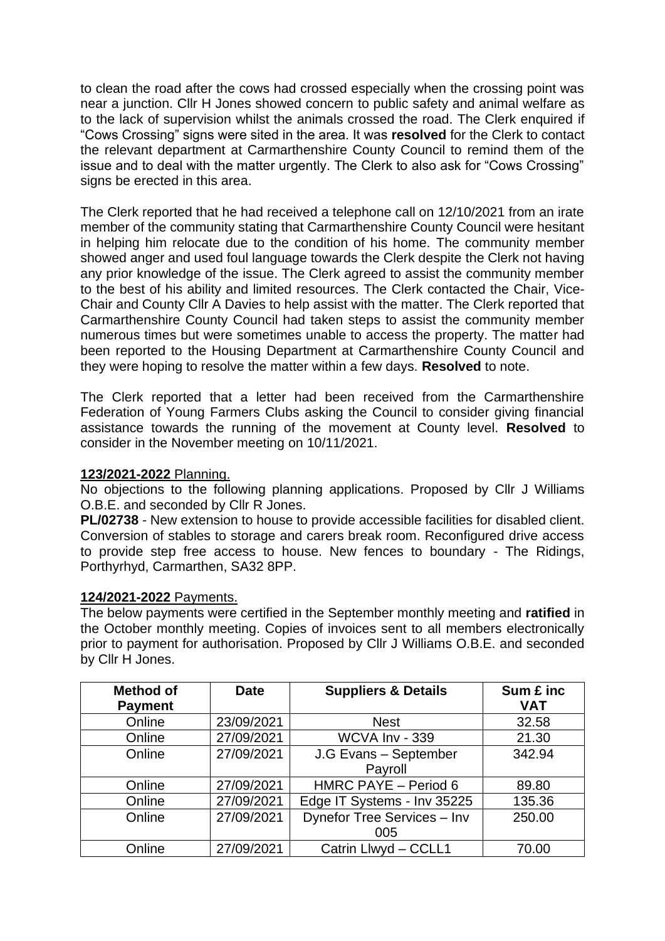to clean the road after the cows had crossed especially when the crossing point was near a junction. Cllr H Jones showed concern to public safety and animal welfare as to the lack of supervision whilst the animals crossed the road. The Clerk enquired if "Cows Crossing" signs were sited in the area. It was **resolved** for the Clerk to contact the relevant department at Carmarthenshire County Council to remind them of the issue and to deal with the matter urgently. The Clerk to also ask for "Cows Crossing" signs be erected in this area.

The Clerk reported that he had received a telephone call on 12/10/2021 from an irate member of the community stating that Carmarthenshire County Council were hesitant in helping him relocate due to the condition of his home. The community member showed anger and used foul language towards the Clerk despite the Clerk not having any prior knowledge of the issue. The Clerk agreed to assist the community member to the best of his ability and limited resources. The Clerk contacted the Chair, Vice-Chair and County Cllr A Davies to help assist with the matter. The Clerk reported that Carmarthenshire County Council had taken steps to assist the community member numerous times but were sometimes unable to access the property. The matter had been reported to the Housing Department at Carmarthenshire County Council and they were hoping to resolve the matter within a few days. **Resolved** to note.

The Clerk reported that a letter had been received from the Carmarthenshire Federation of Young Farmers Clubs asking the Council to consider giving financial assistance towards the running of the movement at County level. **Resolved** to consider in the November meeting on 10/11/2021.

#### **123/2021-2022** Planning.

No objections to the following planning applications. Proposed by Cllr J Williams O.B.E. and seconded by Cllr R Jones.

**PL/02738** - New extension to house to provide accessible facilities for disabled client. Conversion of stables to storage and carers break room. Reconfigured drive access to provide step free access to house. New fences to boundary - The Ridings, Porthyrhyd, Carmarthen, SA32 8PP.

#### **124/2021-2022** Payments.

The below payments were certified in the September monthly meeting and **ratified** in the October monthly meeting. Copies of invoices sent to all members electronically prior to payment for authorisation. Proposed by Cllr J Williams O.B.E. and seconded by Cllr H Jones.

| <b>Method of</b><br><b>Payment</b> | <b>Date</b> | <b>Suppliers &amp; Details</b>     | Sum £ inc<br><b>VAT</b> |
|------------------------------------|-------------|------------------------------------|-------------------------|
| Online                             | 23/09/2021  | <b>Nest</b>                        | 32.58                   |
| Online                             | 27/09/2021  | WCVA Inv - 339                     | 21.30                   |
| Online                             | 27/09/2021  | J.G Evans - September<br>Payroll   | 342.94                  |
| Online                             | 27/09/2021  | HMRC PAYE - Period 6               | 89.80                   |
| Online                             | 27/09/2021  | Edge IT Systems - Inv 35225        | 135.36                  |
| Online                             | 27/09/2021  | Dynefor Tree Services - Inv<br>005 | 250.00                  |
| Online                             | 27/09/2021  | Catrin Llwyd - CCLL1               | 70.00                   |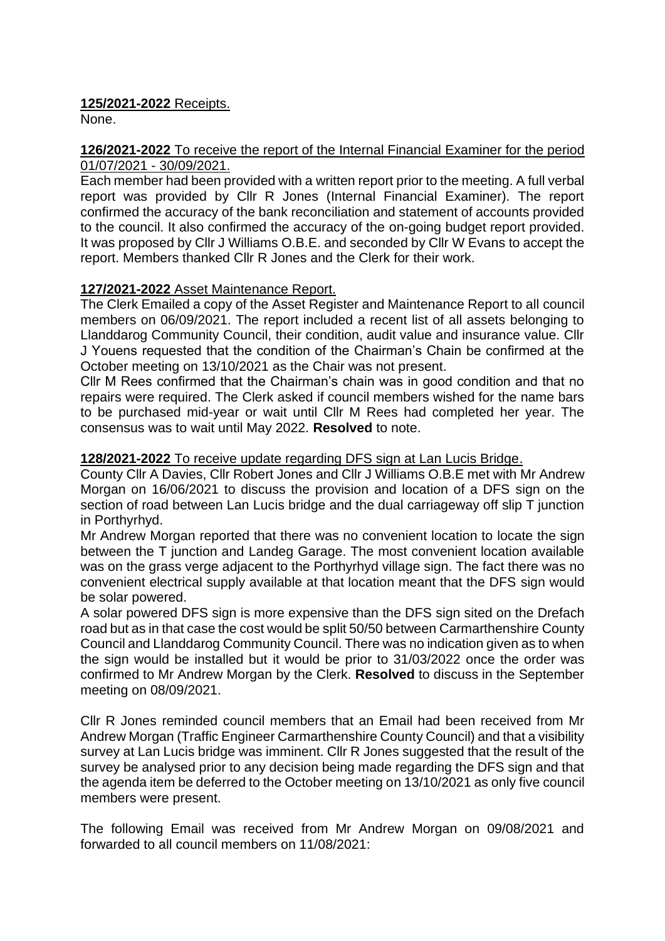# **125/2021-2022** Receipts.

None.

# **126/2021-2022** To receive the report of the Internal Financial Examiner for the period 01/07/2021 - 30/09/2021.

Each member had been provided with a written report prior to the meeting. A full verbal report was provided by Cllr R Jones (Internal Financial Examiner). The report confirmed the accuracy of the bank reconciliation and statement of accounts provided to the council. It also confirmed the accuracy of the on-going budget report provided. It was proposed by Cllr J Williams O.B.E. and seconded by Cllr W Evans to accept the report. Members thanked Cllr R Jones and the Clerk for their work.

# **127/2021-2022** Asset Maintenance Report.

The Clerk Emailed a copy of the Asset Register and Maintenance Report to all council members on 06/09/2021. The report included a recent list of all assets belonging to Llanddarog Community Council, their condition, audit value and insurance value. Cllr J Youens requested that the condition of the Chairman's Chain be confirmed at the October meeting on 13/10/2021 as the Chair was not present.

Cllr M Rees confirmed that the Chairman's chain was in good condition and that no repairs were required. The Clerk asked if council members wished for the name bars to be purchased mid-year or wait until Cllr M Rees had completed her year. The consensus was to wait until May 2022. **Resolved** to note.

# **128/2021-2022** To receive update regarding DFS sign at Lan Lucis Bridge.

County Cllr A Davies, Cllr Robert Jones and Cllr J Williams O.B.E met with Mr Andrew Morgan on 16/06/2021 to discuss the provision and location of a DFS sign on the section of road between Lan Lucis bridge and the dual carriageway off slip T junction in Porthyrhyd.

Mr Andrew Morgan reported that there was no convenient location to locate the sign between the T junction and Landeg Garage. The most convenient location available was on the grass verge adjacent to the Porthyrhyd village sign. The fact there was no convenient electrical supply available at that location meant that the DFS sign would be solar powered.

A solar powered DFS sign is more expensive than the DFS sign sited on the Drefach road but as in that case the cost would be split 50/50 between Carmarthenshire County Council and Llanddarog Community Council. There was no indication given as to when the sign would be installed but it would be prior to 31/03/2022 once the order was confirmed to Mr Andrew Morgan by the Clerk. **Resolved** to discuss in the September meeting on 08/09/2021.

Cllr R Jones reminded council members that an Email had been received from Mr Andrew Morgan (Traffic Engineer Carmarthenshire County Council) and that a visibility survey at Lan Lucis bridge was imminent. Cllr R Jones suggested that the result of the survey be analysed prior to any decision being made regarding the DFS sign and that the agenda item be deferred to the October meeting on 13/10/2021 as only five council members were present.

The following Email was received from Mr Andrew Morgan on 09/08/2021 and forwarded to all council members on 11/08/2021: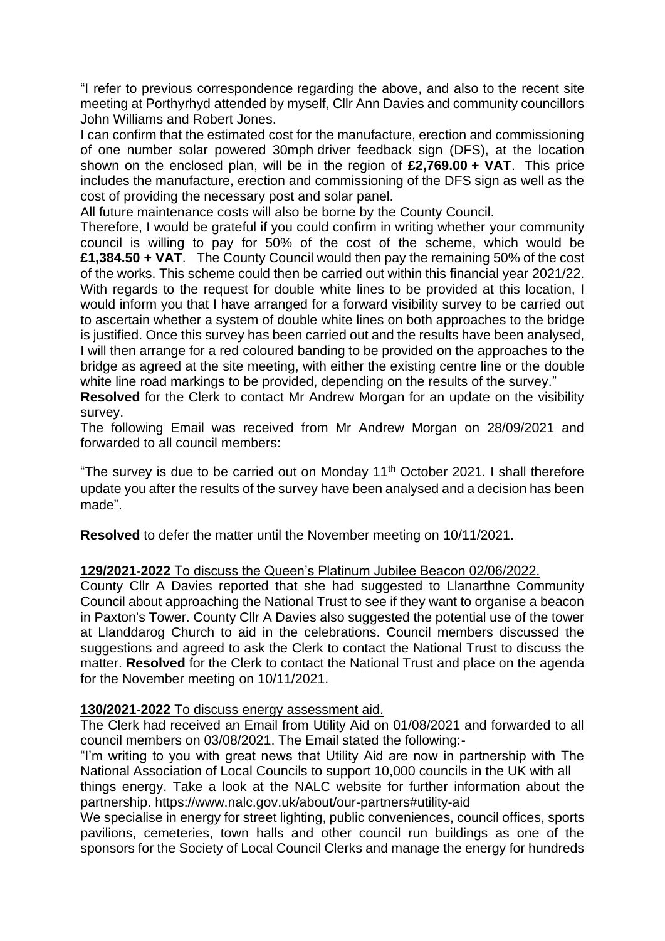"I refer to previous correspondence regarding the above, and also to the recent site meeting at Porthyrhyd attended by myself, Cllr Ann Davies and community councillors John Williams and Robert Jones.

I can confirm that the estimated cost for the manufacture, erection and commissioning of one number solar powered 30mph driver feedback sign (DFS), at the location shown on the enclosed plan, will be in the region of **£2,769.00 + VAT**. This price includes the manufacture, erection and commissioning of the DFS sign as well as the cost of providing the necessary post and solar panel.

All future maintenance costs will also be borne by the County Council.

Therefore, I would be grateful if you could confirm in writing whether your community council is willing to pay for 50% of the cost of the scheme, which would be **£1,384.50 + VAT**. The County Council would then pay the remaining 50% of the cost of the works. This scheme could then be carried out within this financial year 2021/22. With regards to the request for double white lines to be provided at this location, I would inform you that I have arranged for a forward visibility survey to be carried out to ascertain whether a system of double white lines on both approaches to the bridge is justified. Once this survey has been carried out and the results have been analysed, I will then arrange for a red coloured banding to be provided on the approaches to the bridge as agreed at the site meeting, with either the existing centre line or the double white line road markings to be provided, depending on the results of the survey."

**Resolved** for the Clerk to contact Mr Andrew Morgan for an update on the visibility survey.

The following Email was received from Mr Andrew Morgan on 28/09/2021 and forwarded to all council members:

"The survey is due to be carried out on Monday  $11<sup>th</sup>$  October 2021. I shall therefore update you after the results of the survey have been analysed and a decision has been made".

**Resolved** to defer the matter until the November meeting on 10/11/2021.

## **129/2021-2022** To discuss the Queen's Platinum Jubilee Beacon 02/06/2022.

County Cllr A Davies reported that she had suggested to Llanarthne Community Council about approaching the National Trust to see if they want to organise a beacon in Paxton's Tower. County Cllr A Davies also suggested the potential use of the tower at Llanddarog Church to aid in the celebrations. Council members discussed the suggestions and agreed to ask the Clerk to contact the National Trust to discuss the matter. **Resolved** for the Clerk to contact the National Trust and place on the agenda for the November meeting on 10/11/2021.

## **130/2021-2022** To discuss energy assessment aid.

The Clerk had received an Email from Utility Aid on 01/08/2021 and forwarded to all council members on 03/08/2021. The Email stated the following:-

"I'm writing to you with great news that Utility Aid are now in partnership with The National Association of Local Councils to support 10,000 councils in the UK with all things energy. Take a look at the NALC website for further information about the partnership.<https://www.nalc.gov.uk/about/our-partners#utility-aid>

We specialise in energy for street lighting, public conveniences, council offices, sports pavilions, cemeteries, town halls and other council run buildings as one of the sponsors for the Society of Local Council Clerks and manage the energy for hundreds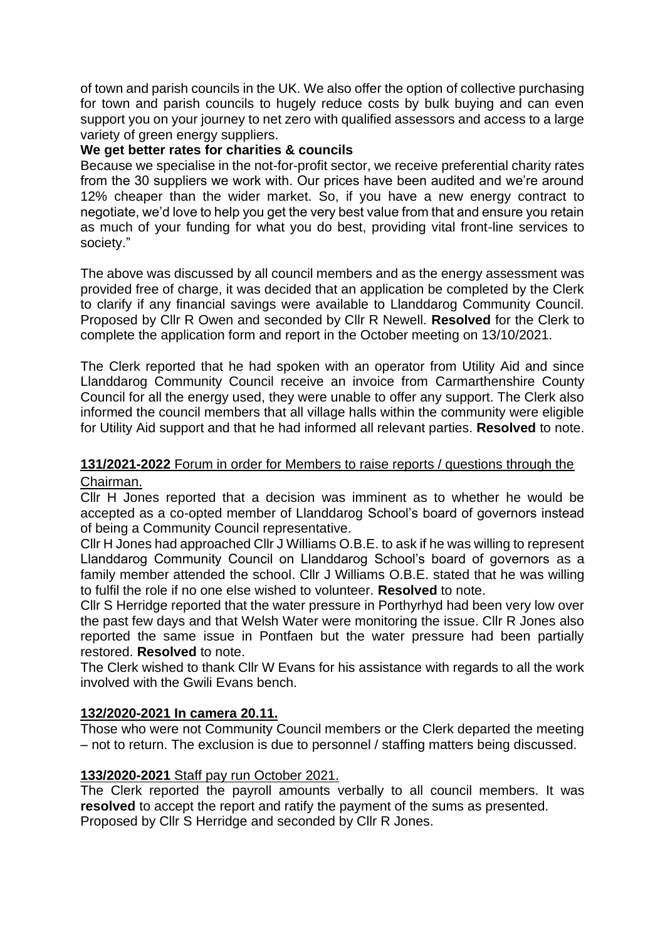of town and parish councils in the UK. We also offer the option of collective purchasing for town and parish councils to hugely reduce costs by bulk buying and can even support you on your journey to net zero with qualified assessors and access to a large variety of green energy suppliers.

#### **We get better rates for charities & councils**

Because we specialise in the not-for-profit sector, we receive preferential charity rates from the 30 suppliers we work with. Our prices have been audited and we're around 12% cheaper than the wider market. So, if you have a new energy contract to negotiate, we'd love to help you get the very best value from that and ensure you retain as much of your funding for what you do best, providing vital front-line services to society."

The above was discussed by all council members and as the energy assessment was provided free of charge, it was decided that an application be completed by the Clerk to clarify if any financial savings were available to Llanddarog Community Council. Proposed by Cllr R Owen and seconded by Cllr R Newell. **Resolved** for the Clerk to complete the application form and report in the October meeting on 13/10/2021.

The Clerk reported that he had spoken with an operator from Utility Aid and since Llanddarog Community Council receive an invoice from Carmarthenshire County Council for all the energy used, they were unable to offer any support. The Clerk also informed the council members that all village halls within the community were eligible for Utility Aid support and that he had informed all relevant parties. **Resolved** to note.

# **131/2021-2022** Forum in order for Members to raise reports / questions through the Chairman.

Cllr H Jones reported that a decision was imminent as to whether he would be accepted as a co-opted member of Llanddarog School's board of governors instead of being a Community Council representative.

Cllr H Jones had approached Cllr J Williams O.B.E. to ask if he was willing to represent Llanddarog Community Council on Llanddarog School's board of governors as a family member attended the school. Cllr J Williams O.B.E. stated that he was willing to fulfil the role if no one else wished to volunteer. **Resolved** to note.

Cllr S Herridge reported that the water pressure in Porthyrhyd had been very low over the past few days and that Welsh Water were monitoring the issue. Cllr R Jones also reported the same issue in Pontfaen but the water pressure had been partially restored. **Resolved** to note.

The Clerk wished to thank Cllr W Evans for his assistance with regards to all the work involved with the Gwili Evans bench.

## **132/2020-2021 In camera 20.11.**

Those who were not Community Council members or the Clerk departed the meeting – not to return. The exclusion is due to personnel / staffing matters being discussed.

## **133/2020-2021** Staff pay run October 2021.

The Clerk reported the payroll amounts verbally to all council members. It was **resolved** to accept the report and ratify the payment of the sums as presented. Proposed by Cllr S Herridge and seconded by Cllr R Jones.